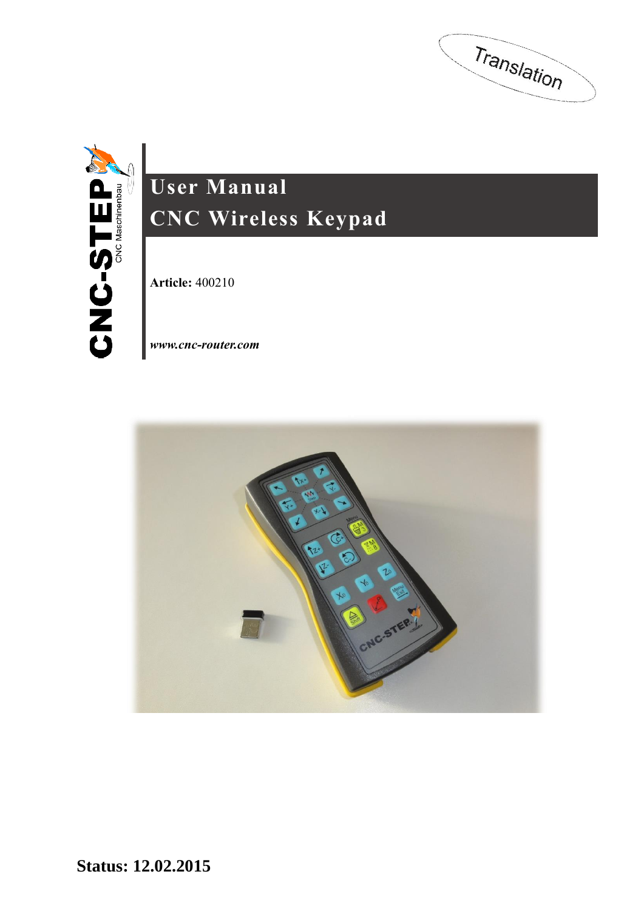Translation



# **User Manual CNC Wireless Keypad**

**Article:** 400210

*[www.cnc-router.com](http://www.cnc-router.com/)*

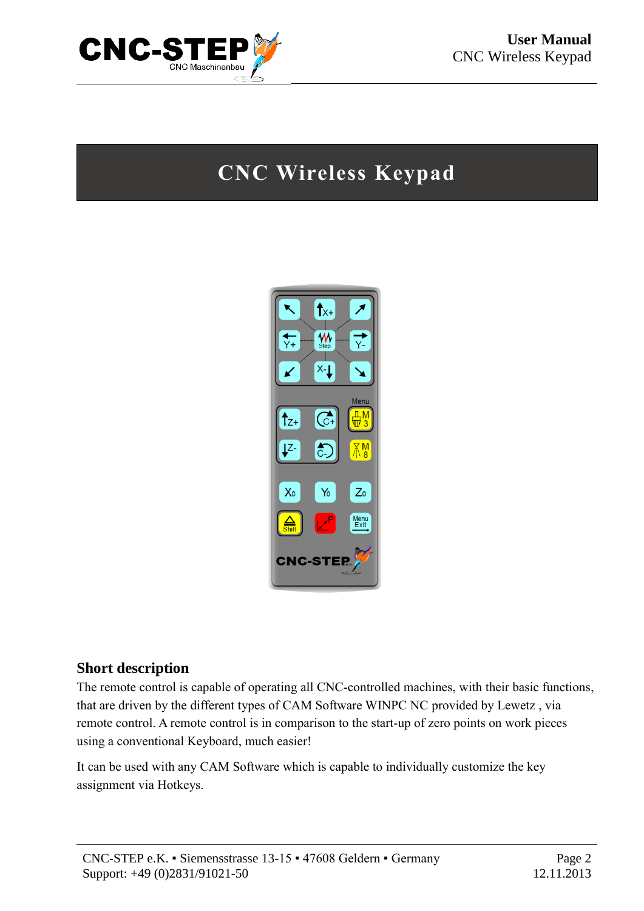

## **CNC Wireless Keypad**



#### **Short description**

The remote control is capable of operating all CNC-controlled machines, with their basic functions, that are driven by the different types of CAM Software WINPC NC provided by Lewetz , via remote control. A remote control is in comparison to the start-up of zero points on work pieces using a conventional Keyboard, much easier!

It can be used with any CAM Software which is capable to individually customize the key assignment via Hotkeys.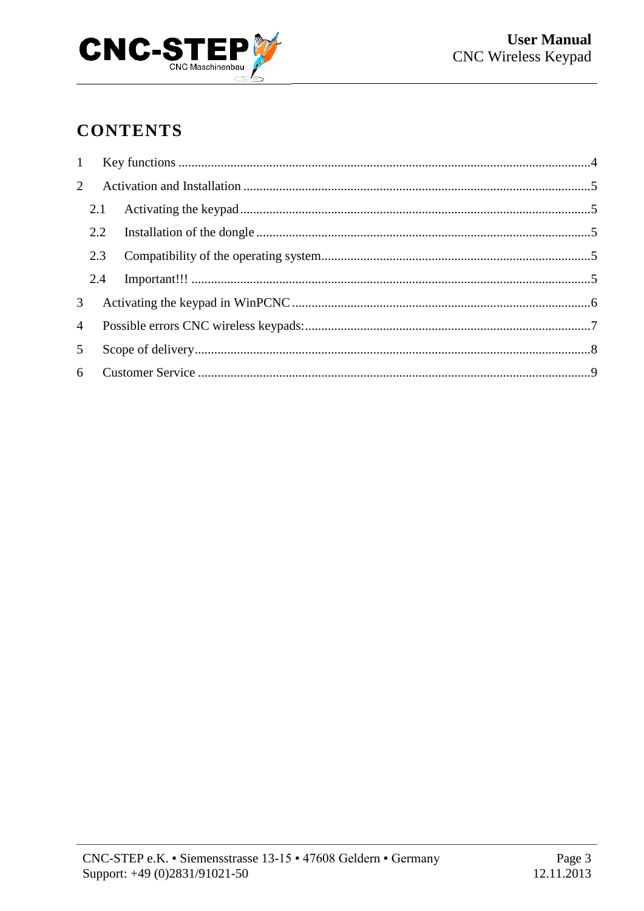

## **CONTENTS**

| $\overline{4}$ |                |  |  |  |  |
|----------------|----------------|--|--|--|--|
|                | 5 <sup>5</sup> |  |  |  |  |
|                |                |  |  |  |  |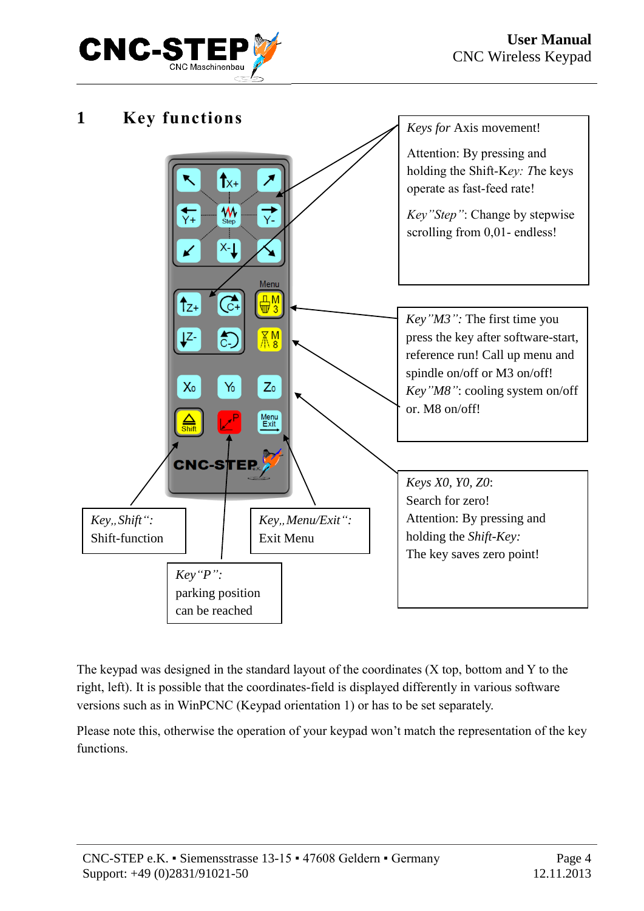

<span id="page-3-0"></span>

The keypad was designed in the standard layout of the coordinates (X top, bottom and Y to the right, left). It is possible that the coordinates-field is displayed differently in various software versions such as in WinPCNC (Keypad orientation 1) or has to be set separately.

Please note this, otherwise the operation of your keypad won't match the representation of the key functions.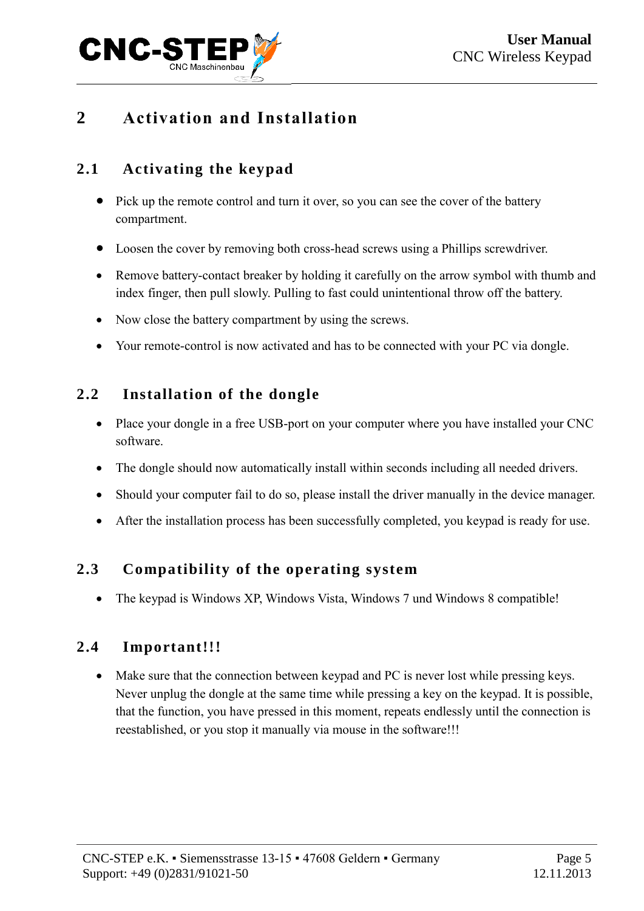

## <span id="page-4-0"></span>**2 Activation and Installation**

#### <span id="page-4-1"></span>**2.1 Activating the keypad**

- Pick up the remote control and turn it over, so you can see the cover of the battery compartment.
- Loosen the cover by removing both cross-head screws using a Phillips screwdriver.
- Remove battery-contact breaker by holding it carefully on the arrow symbol with thumb and index finger, then pull slowly. Pulling to fast could unintentional throw off the battery.
- Now close the battery compartment by using the screws.
- Your remote-control is now activated and has to be connected with your PC via dongle.

#### <span id="page-4-2"></span>**2.2 Installation of the dongle**

- Place your dongle in a free USB-port on your computer where you have installed your CNC software.
- The dongle should now automatically install within seconds including all needed drivers.
- Should your computer fail to do so, please install the driver manually in the device manager.
- After the installation process has been successfully completed, you keypad is ready for use.

#### <span id="page-4-3"></span>**2.3 Compatibility of the operating system**

• The keypad is Windows XP, Windows Vista, Windows 7 und Windows 8 compatible!

#### <span id="page-4-4"></span>**2.4 Important!!!**

• Make sure that the connection between keypad and PC is never lost while pressing keys. Never unplug the dongle at the same time while pressing a key on the keypad. It is possible, that the function, you have pressed in this moment, repeats endlessly until the connection is reestablished, or you stop it manually via mouse in the software!!!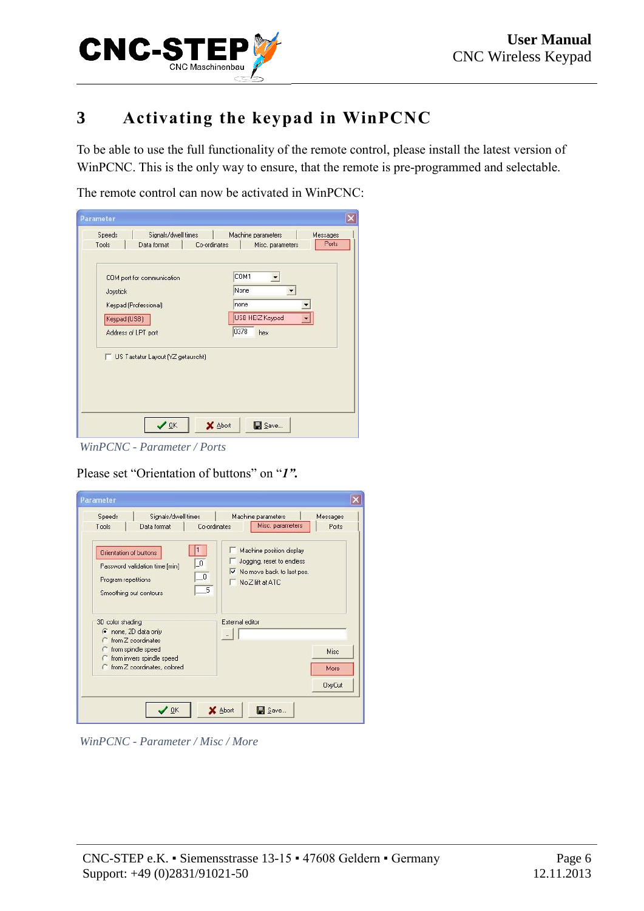

## <span id="page-5-0"></span>**3 Activating the keypad in WinPCNC**

To be able to use the full functionality of the remote control, please install the latest version of WinPCNC. This is the only way to ensure, that the remote is pre-programmed and selectable.

The remote control can now be activated in WinPCNC:

| Speeds                              | Signals/dwell times               |              | Machine parameters | Messages |
|-------------------------------------|-----------------------------------|--------------|--------------------|----------|
| Tools                               | Data format                       | Co-ordinates | Misc. parameters   | Ports    |
|                                     | COM port for communication        |              | COM1               |          |
| Joystick                            |                                   |              | None<br>none       |          |
|                                     | Keypad (Professional)             |              |                    |          |
| Keypad (USB)<br>Address of LPT port |                                   |              | USB HEIZ Keypad    |          |
|                                     |                                   |              | 0378<br>hex        |          |
|                                     | US Tastatur Layout (YZ getauscht) |              |                    |          |
|                                     |                                   |              |                    |          |

*WinPCNC - Parameter / Ports*

Please set "Orientation of buttons" on "*1".*

| Signals/dwell times<br>Speeds                                                                             |                                           | Machine parameters                                                                                       | Messages      |
|-----------------------------------------------------------------------------------------------------------|-------------------------------------------|----------------------------------------------------------------------------------------------------------|---------------|
| Tools<br>Data format                                                                                      | Co-ordinates                              | Misc. parameters                                                                                         | Ports         |
| Orientation of buttons<br>Password validation time [min]<br>Program repetitions<br>Smoothing out contours | $\overline{\phantom{0}}$<br>$\theta$<br>5 | Machine position display<br>Jogging, reset to endless<br>V No move back to last pos.<br>No Z lift at ATC |               |
| 3D color shading<br>To none, 2D data only                                                                 |                                           | External editor                                                                                          |               |
| from Z coordinates<br>c.<br>from spindle speed<br>C                                                       |                                           |                                                                                                          | <b>Misc</b>   |
| <b>C</b> from invers spindle speed<br>C from Z coordinates, colored                                       |                                           |                                                                                                          | More          |
|                                                                                                           |                                           |                                                                                                          | <b>OxyCut</b> |
|                                                                                                           |                                           |                                                                                                          |               |

*WinPCNC - Parameter / Misc / More*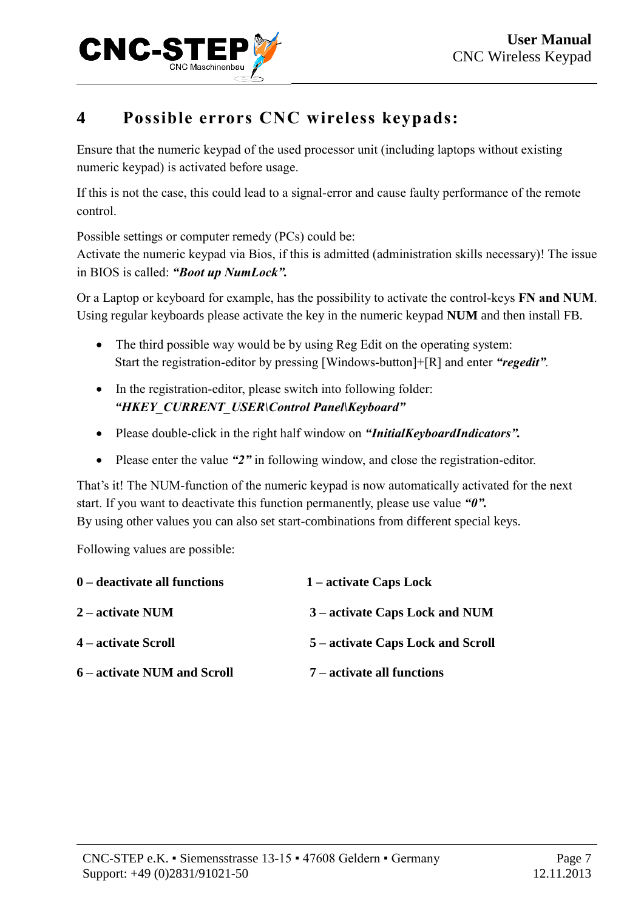

## <span id="page-6-0"></span>**4 Possible errors CNC wireless keypads:**

Ensure that the numeric keypad of the used processor unit (including laptops without existing numeric keypad) is activated before usage.

If this is not the case, this could lead to a signal-error and cause faulty performance of the remote control.

Possible settings or computer remedy (PCs) could be:

Activate the numeric keypad via Bios, if this is admitted (administration skills necessary)! The issue in BIOS is called: *"Boot up NumLock".*

Or a Laptop or keyboard for example, has the possibility to activate the control-keys **FN and NUM**. Using regular keyboards please activate the key in the numeric keypad **NUM** and then install FB.

- The third possible way would be by using Reg Edit on the operating system: Start the registration-editor by pressing [Windows-button]+[R] and enter *"regedit".*
- In the registration-editor, please switch into following folder: *"HKEY\_CURRENT\_USER\Control Panel\Keyboard"*
- Please double-click in the right half window on *"InitialKeyboardIndicators".*
- Please enter the value *"2"* in following window, and close the registration-editor.

That's it! The NUM-function of the numeric keypad is now automatically activated for the next start. If you want to deactivate this function permanently, please use value *"0".* By using other values you can also set start-combinations from different special keys.

Following values are possible:

| $0$ – deactivate all functions | 1 – activate Caps Lock            |
|--------------------------------|-----------------------------------|
| $2$ – activate NUM             | 3 – activate Caps Lock and NUM    |
| 4 – activate Scroll            | 5 – activate Caps Lock and Scroll |
| 6 – activate NUM and Scroll    | 7 – activate all functions        |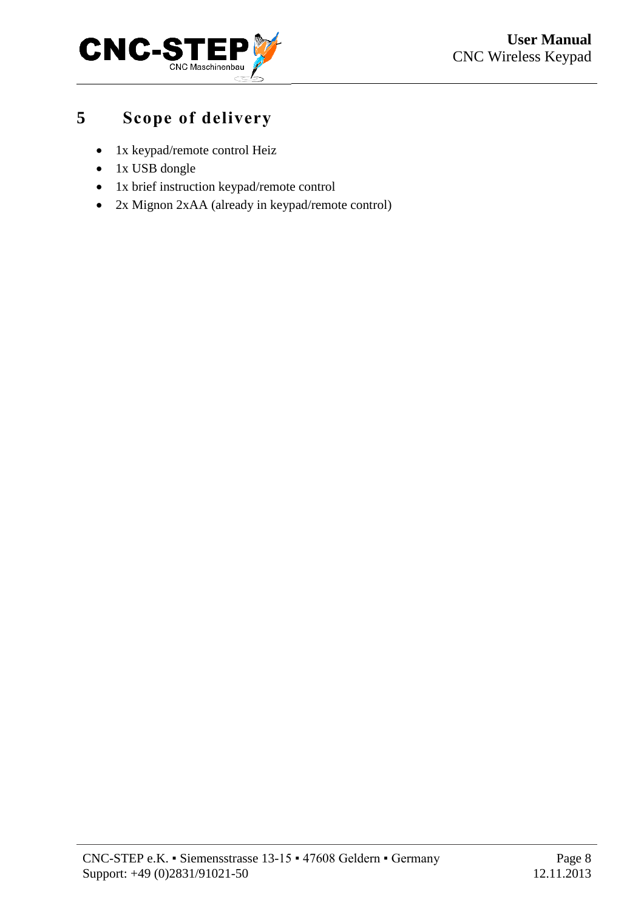

## <span id="page-7-0"></span>**5 Scope of delivery**

- 1x keypad/remote control Heiz
- 1x USB dongle
- 1x brief instruction keypad/remote control
- 2x Mignon 2xAA (already in keypad/remote control)